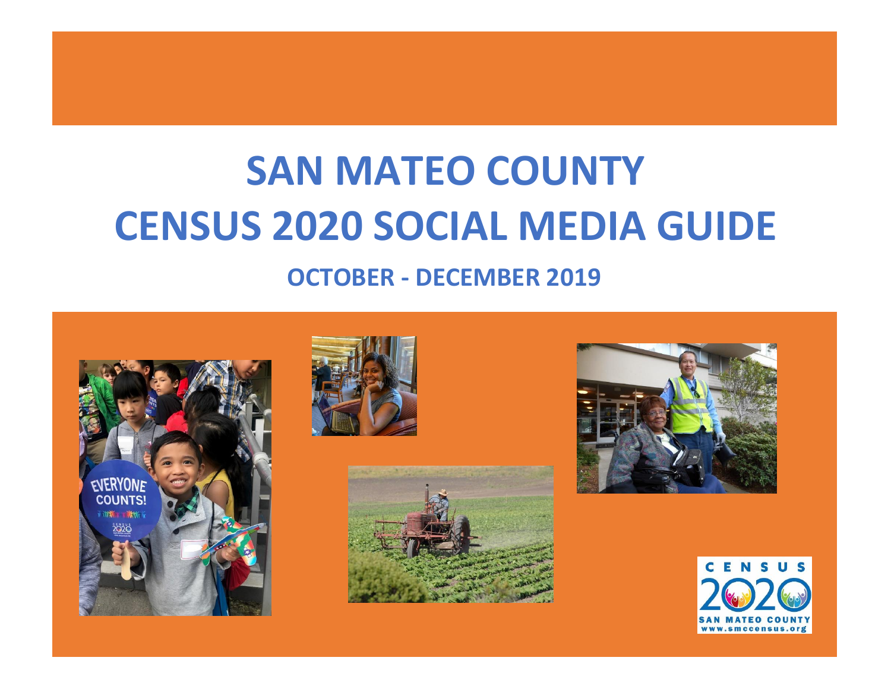# **SAN MATEO COUNTY CENSUS 2020 SOCIAL MEDIA GUIDE**

# **OCTOBER - DECEMBER 2019**









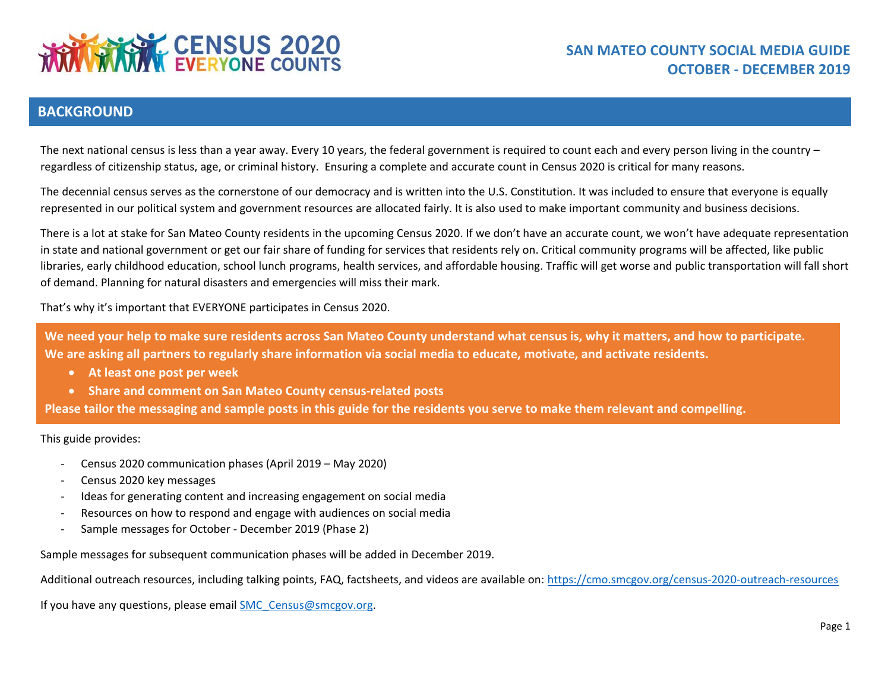

#### **BACKGROUND**

The next national census is less than a year away. Every 10 years, the federal government is required to count each and every person living in the country – regardless of citizenship status, age, or criminal history. Ensuring a complete and accurate count in Census 2020 is critical for many reasons.

The decennial census serves as the cornerstone of our democracy and is written into the U.S. Constitution. It was included to ensure that everyone is equally represented in our political system and government resources are allocated fairly. It is also used to make important community and business decisions.

There is a lot at stake for San Mateo County residents in the upcoming Census 2020. If we don't have an accurate count, we won't have adequate representation in state and national government or get our fair share of funding for services that residents rely on. Critical community programs will be affected, like public libraries, early childhood education, school lunch programs, health services, and affordable housing. Traffic will get worse and public transportation will fall short of demand. Planning for natural disasters and emergencies will miss their mark.

That's why it's important that EVERYONE participates in Census 2020.

**We need your help to make sure residents across San Mateo County understand what census is, why it matters, and how to participate. We are asking all partners to regularly share information via social media to educate, motivate, and activate residents.**

- **At least one post per week**
- **Share and comment on San Mateo County census-related posts**

**Please tailor the messaging and sample posts in this guide for the residents you serve to make them relevant and compelling.**

This guide provides:

- Census 2020 communication phases (April 2019 May 2020)
- Census 2020 key messages
- Ideas for generating content and increasing engagement on social media
- Resources on how to respond and engage with audiences on social media
- Sample messages for October December 2019 (Phase 2)

Sample messages for subsequent communication phases will be added in December 2019.

Additional outreach resources, including talking points, FAQ, factsheets, and videos are available on:<https://cmo.smcgov.org/census-2020-outreach-resources>

If you have any questions, please email [SMC\\_Census@smcgov.org.](mailto:SMC_Census@smcgov.org)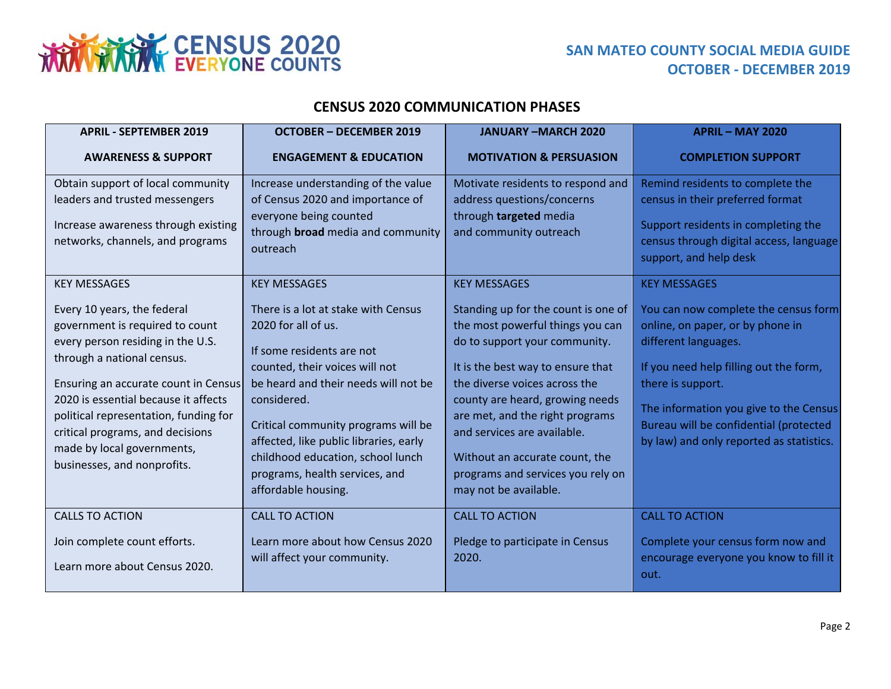

### **SAN MATEO COUNTY SOCIAL MEDIA GUIDE OCTOBER - DECEMBER 2019**

#### **CENSUS 2020 COMMUNICATION PHASES**

| <b>APRIL - SEPTEMBER 2019</b>                                                                                                                                                                                                                                                                                                                                                      | <b>OCTOBER - DECEMBER 2019</b>                                                                                                                                                                                                                                                                                                                                                         | <b>JANUARY-MARCH 2020</b>                                                                                                                                                                                                                                                                                                                                                                                  | <b>APRIL - MAY 2020</b>                                                                                                                                                                                                                                                                                                |
|------------------------------------------------------------------------------------------------------------------------------------------------------------------------------------------------------------------------------------------------------------------------------------------------------------------------------------------------------------------------------------|----------------------------------------------------------------------------------------------------------------------------------------------------------------------------------------------------------------------------------------------------------------------------------------------------------------------------------------------------------------------------------------|------------------------------------------------------------------------------------------------------------------------------------------------------------------------------------------------------------------------------------------------------------------------------------------------------------------------------------------------------------------------------------------------------------|------------------------------------------------------------------------------------------------------------------------------------------------------------------------------------------------------------------------------------------------------------------------------------------------------------------------|
| <b>AWARENESS &amp; SUPPORT</b>                                                                                                                                                                                                                                                                                                                                                     | <b>ENGAGEMENT &amp; EDUCATION</b>                                                                                                                                                                                                                                                                                                                                                      | <b>MOTIVATION &amp; PERSUASION</b>                                                                                                                                                                                                                                                                                                                                                                         | <b>COMPLETION SUPPORT</b>                                                                                                                                                                                                                                                                                              |
| Obtain support of local community<br>leaders and trusted messengers<br>Increase awareness through existing<br>networks, channels, and programs                                                                                                                                                                                                                                     | Increase understanding of the value<br>of Census 2020 and importance of<br>everyone being counted<br>through <b>broad</b> media and community<br>outreach                                                                                                                                                                                                                              | Motivate residents to respond and<br>address questions/concerns<br>through targeted media<br>and community outreach                                                                                                                                                                                                                                                                                        | Remind residents to complete the<br>census in their preferred format<br>Support residents in completing the<br>census through digital access, language<br>support, and help desk                                                                                                                                       |
| <b>KEY MESSAGES</b><br>Every 10 years, the federal<br>government is required to count<br>every person residing in the U.S.<br>through a national census.<br>Ensuring an accurate count in Census<br>2020 is essential because it affects<br>political representation, funding for<br>critical programs, and decisions<br>made by local governments,<br>businesses, and nonprofits. | <b>KEY MESSAGES</b><br>There is a lot at stake with Census<br>2020 for all of us.<br>If some residents are not<br>counted, their voices will not<br>be heard and their needs will not be<br>considered.<br>Critical community programs will be<br>affected, like public libraries, early<br>childhood education, school lunch<br>programs, health services, and<br>affordable housing. | <b>KEY MESSAGES</b><br>Standing up for the count is one of<br>the most powerful things you can<br>do to support your community.<br>It is the best way to ensure that<br>the diverse voices across the<br>county are heard, growing needs<br>are met, and the right programs<br>and services are available.<br>Without an accurate count, the<br>programs and services you rely on<br>may not be available. | <b>KEY MESSAGES</b><br>You can now complete the census form<br>online, on paper, or by phone in<br>different languages.<br>If you need help filling out the form,<br>there is support.<br>The information you give to the Census<br>Bureau will be confidential (protected<br>by law) and only reported as statistics. |
| <b>CALLS TO ACTION</b><br>Join complete count efforts.<br>Learn more about Census 2020.                                                                                                                                                                                                                                                                                            | <b>CALL TO ACTION</b><br>Learn more about how Census 2020<br>will affect your community.                                                                                                                                                                                                                                                                                               | <b>CALL TO ACTION</b><br>Pledge to participate in Census<br>2020.                                                                                                                                                                                                                                                                                                                                          | <b>CALL TO ACTION</b><br>Complete your census form now and<br>encourage everyone you know to fill it<br>out.                                                                                                                                                                                                           |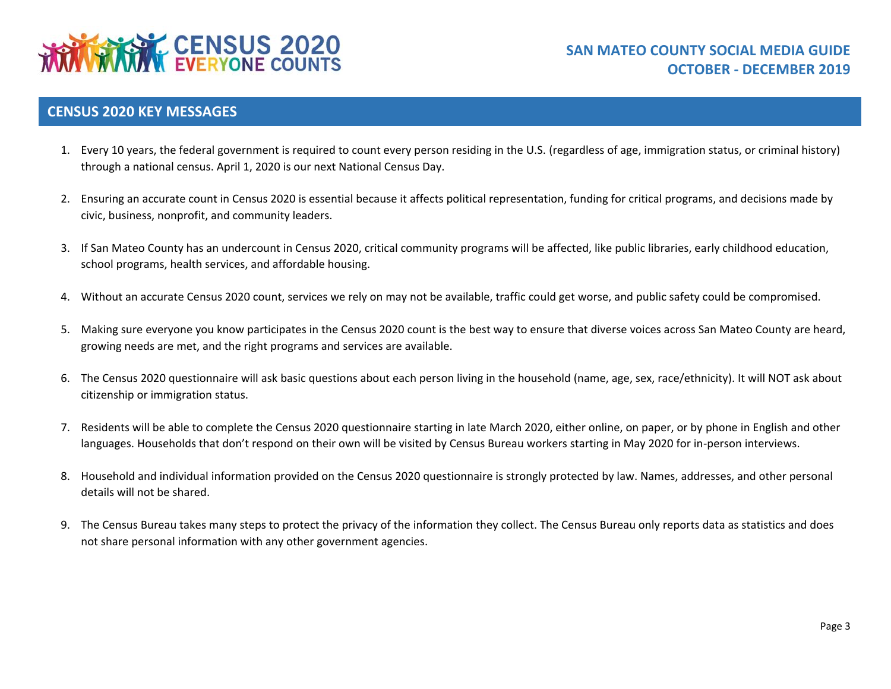

#### **CENSUS 2020 KEY MESSAGES**

- 1. Every 10 years, the federal government is required to count every person residing in the U.S. (regardless of age, immigration status, or criminal history) through a national census. April 1, 2020 is our next National Census Day.
- 2. Ensuring an accurate count in Census 2020 is essential because it affects political representation, funding for critical programs, and decisions made by civic, business, nonprofit, and community leaders.
- 3. If San Mateo County has an undercount in Census 2020, critical community programs will be affected, like public libraries, early childhood education, school programs, health services, and affordable housing.
- 4. Without an accurate Census 2020 count, services we rely on may not be available, traffic could get worse, and public safety could be compromised.
- 5. Making sure everyone you know participates in the Census 2020 count is the best way to ensure that diverse voices across San Mateo County are heard, growing needs are met, and the right programs and services are available.
- 6. The Census 2020 questionnaire will ask basic questions about each person living in the household (name, age, sex, race/ethnicity). It will NOT ask about citizenship or immigration status.
- 7. Residents will be able to complete the Census 2020 questionnaire starting in late March 2020, either online, on paper, or by phone in English and other languages. Households that don't respond on their own will be visited by Census Bureau workers starting in May 2020 for in-person interviews.
- 8. Household and individual information provided on the Census 2020 questionnaire is strongly protected by law. Names, addresses, and other personal details will not be shared.
- 9. The Census Bureau takes many steps to protect the privacy of the information they collect. The Census Bureau only reports data as statistics and does not share personal information with any other government agencies.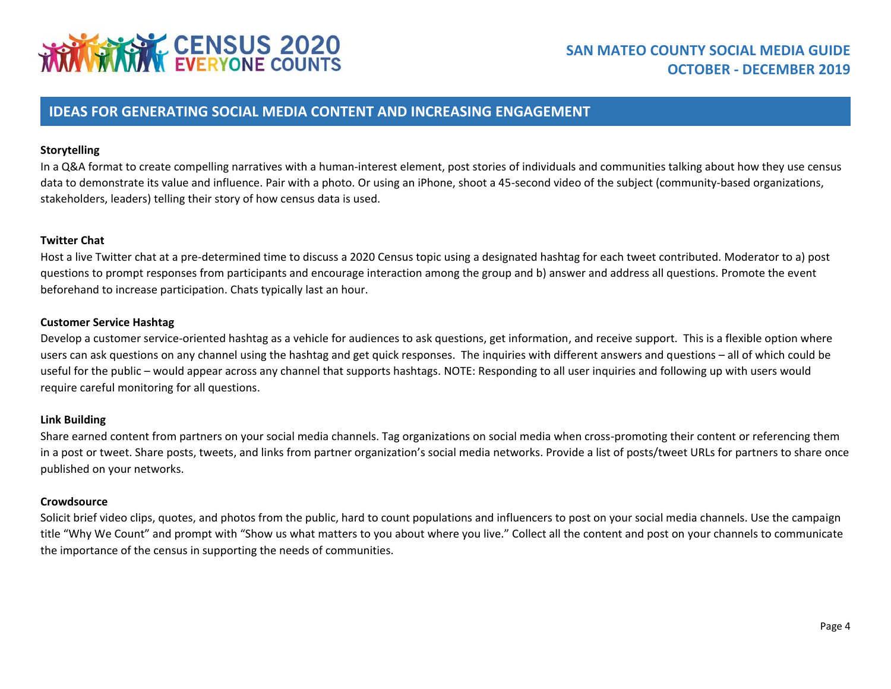# **WINNING CENSUS 2020**

## **SAN MATEO COUNTY SOCIAL MEDIA GUIDE OCTOBER - DECEMBER 2019**

#### **IDEAS FOR GENERATING SOCIAL MEDIA CONTENT AND INCREASING ENGAGEMENT**

#### **Storytelling**

In a Q&A format to create compelling narratives with a human-interest element, post stories of individuals and communities talking about how they use census data to demonstrate its value and influence. Pair with a photo. Or using an iPhone, shoot a 45-second video of the subject (community-based organizations, stakeholders, leaders) telling their story of how census data is used.

#### **Twitter Chat**

Host a live Twitter chat at a pre-determined time to discuss a 2020 Census topic using a designated hashtag for each tweet contributed. Moderator to a) post questions to prompt responses from participants and encourage interaction among the group and b) answer and address all questions. Promote the event beforehand to increase participation. Chats typically last an hour.

#### **Customer Service Hashtag**

Develop a customer service-oriented hashtag as a vehicle for audiences to ask questions, get information, and receive support. This is a flexible option where users can ask questions on any channel using the hashtag and get quick responses. The inquiries with different answers and questions – all of which could be useful for the public – would appear across any channel that supports hashtags. NOTE: Responding to all user inquiries and following up with users would require careful monitoring for all questions.

#### **Link Building**

Share earned content from partners on your social media channels. Tag organizations on social media when cross-promoting their content or referencing them in a post or tweet. Share posts, tweets, and links from partner organization's social media networks. Provide a list of posts/tweet URLs for partners to share once published on your networks.

#### **Crowdsource**

Solicit brief video clips, quotes, and photos from the public, hard to count populations and influencers to post on your social media channels. Use the campaign title "Why We Count" and prompt with "Show us what matters to you about where you live." Collect all the content and post on your channels to communicate the importance of the census in supporting the needs of communities.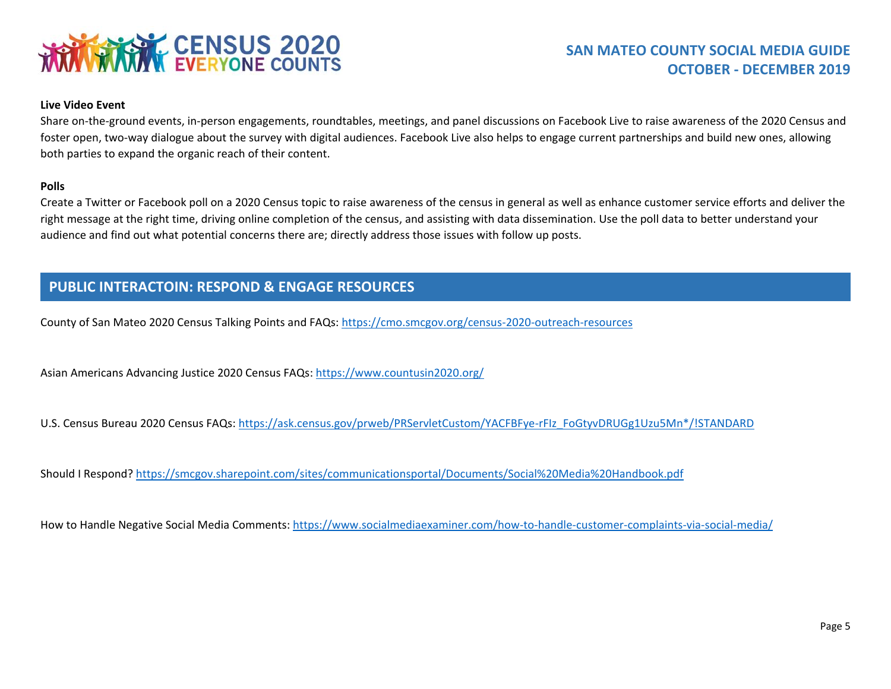

#### **Live Video Event**

Share on-the-ground events, in-person engagements, roundtables, meetings, and panel discussions on Facebook Live to raise awareness of the 2020 Census and foster open, two-way dialogue about the survey with digital audiences. Facebook Live also helps to engage current partnerships and build new ones, allowing both parties to expand the organic reach of their content.

#### **Polls**

Create a Twitter or Facebook poll on a 2020 Census topic to raise awareness of the census in general as well as enhance customer service efforts and deliver the right message at the right time, driving online completion of the census, and assisting with data dissemination. Use the poll data to better understand your audience and find out what potential concerns there are; directly address those issues with follow up posts.

#### **PUBLIC INTERACTOIN: RESPOND & ENGAGE RESOURCES**

County of San Mateo 2020 Census Talking Points and FAQs:<https://cmo.smcgov.org/census-2020-outreach-resources>

Asian Americans Advancing Justice 2020 Census FAQs[: https://www.countusin2020.org/](https://www.countusin2020.org/)

U.S. Census Bureau 2020 Census FAQs: [https://ask.census.gov/prweb/PRServletCustom/YACFBFye-rFIz\\_FoGtyvDRUGg1Uzu5Mn\\*/!STANDARD](https://ask.census.gov/prweb/PRServletCustom/YACFBFye-rFIz_FoGtyvDRUGg1Uzu5Mn*/!STANDARD)

Should I Respond? <https://smcgov.sharepoint.com/sites/communicationsportal/Documents/Social%20Media%20Handbook.pdf>

How to Handle Negative Social Media Comments:<https://www.socialmediaexaminer.com/how-to-handle-customer-complaints-via-social-media/>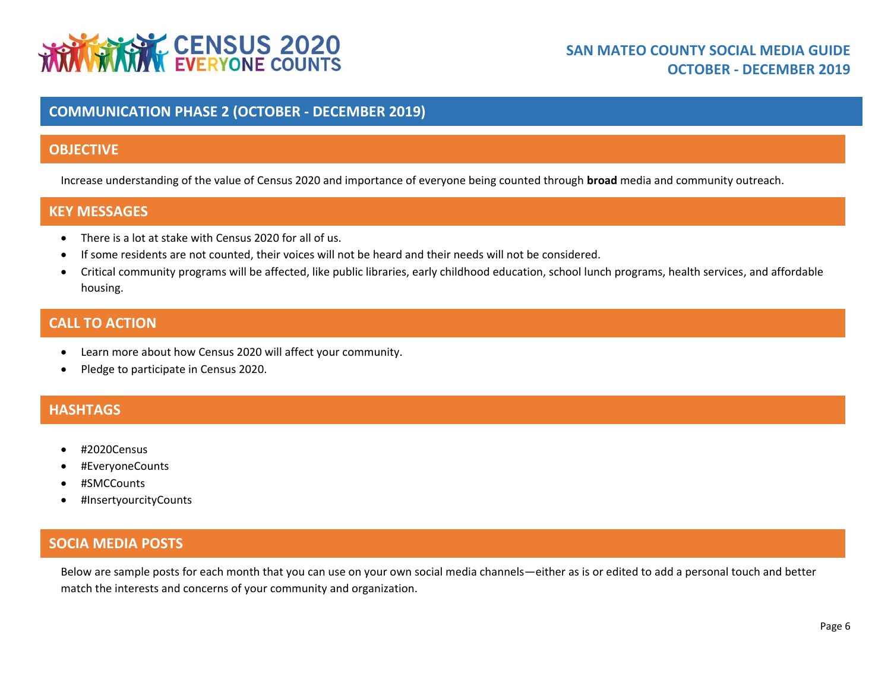# **THE TABLE STATE OF STATE OF STATE STATE OF STATE OF STATE STATE OF STATE STATE OF STATE STATE STATE STATE STATE**

#### **COMMUNICATION PHASE 2 (OCTOBER - DECEMBER 2019)**

#### **OBJECTIVE**

Increase understanding of the value of Census 2020 and importance of everyone being counted through **broad** media and community outreach.

#### **KEY MESSAGES**

- There is a lot at stake with Census 2020 for all of us.
- If some residents are not counted, their voices will not be heard and their needs will not be considered.
- Critical community programs will be affected, like public libraries, early childhood education, school lunch programs, health services, and affordable housing.

#### **CALL TO ACTION**

- Learn more about how Census 2020 will affect your community.
- Pledge to participate in Census 2020.

### **HASHTAGS**

- #2020Census
- #EveryoneCounts
- #SMCCounts
- #InsertyourcityCounts

### **SOCIA MEDIA POSTS**

Below are sample posts for each month that you can use on your own social media channels—either as is or edited to add a personal touch and better match the interests and concerns of your community and organization.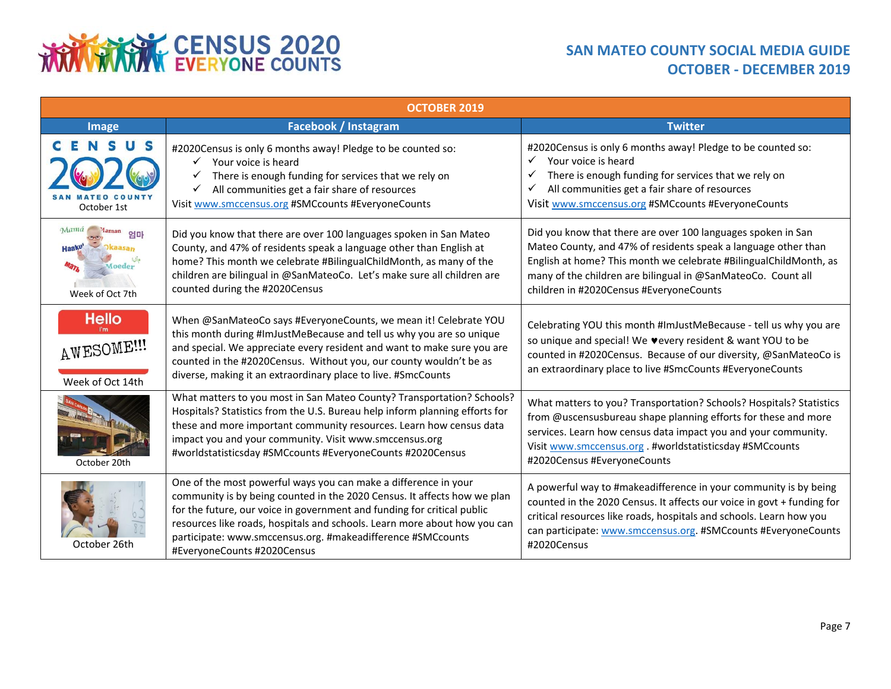# **THRANGE CENSUS 2020**

## **SAN MATEO COUNTY SOCIAL MEDIA GUIDE OCTOBER - DECEMBER 2019**

| <b>OCTOBER 2019</b>                                     |                                                                                                                                                                                                                                                                                                                                                                                                   |                                                                                                                                                                                                                                                                                                                |  |  |
|---------------------------------------------------------|---------------------------------------------------------------------------------------------------------------------------------------------------------------------------------------------------------------------------------------------------------------------------------------------------------------------------------------------------------------------------------------------------|----------------------------------------------------------------------------------------------------------------------------------------------------------------------------------------------------------------------------------------------------------------------------------------------------------------|--|--|
| <b>Image</b>                                            | Facebook / Instagram                                                                                                                                                                                                                                                                                                                                                                              | <b>Twitter</b>                                                                                                                                                                                                                                                                                                 |  |  |
| October 1st                                             | #2020Census is only 6 months away! Pledge to be counted so:<br>Your voice is heard<br>$\checkmark$<br>There is enough funding for services that we rely on<br>✓<br>All communities get a fair share of resources<br>Visit www.smccensus.org #SMCcounts #EveryoneCounts                                                                                                                            | #2020Census is only 6 months away! Pledge to be counted so:<br>Your voice is heard<br>✓<br>There is enough funding for services that we rely on<br>✓<br>All communities get a fair share of resources<br>✓<br>Visit www.smccensus.org #SMCcounts #EveryoneCounts                                               |  |  |
| Mama<br>laman<br>엄마<br><b>Aoeder</b><br>Week of Oct 7th | Did you know that there are over 100 languages spoken in San Mateo<br>County, and 47% of residents speak a language other than English at<br>home? This month we celebrate #BilingualChildMonth, as many of the<br>children are bilingual in @SanMateoCo. Let's make sure all children are<br>counted during the #2020Census                                                                      | Did you know that there are over 100 languages spoken in San<br>Mateo County, and 47% of residents speak a language other than<br>English at home? This month we celebrate #BilingualChildMonth, as<br>many of the children are bilingual in @SanMateoCo. Count all<br>children in #2020Census #EveryoneCounts |  |  |
| <b>Hello</b><br>AWESOME !!!<br>Week of Oct 14th         | When @SanMateoCo says #EveryoneCounts, we mean it! Celebrate YOU<br>this month during #ImJustMeBecause and tell us why you are so unique<br>and special. We appreciate every resident and want to make sure you are<br>counted in the #2020Census. Without you, our county wouldn't be as<br>diverse, making it an extraordinary place to live. #SmcCounts                                        | Celebrating YOU this month #ImJustMeBecause - tell us why you are<br>so unique and special! We vevery resident & want YOU to be<br>counted in #2020Census. Because of our diversity, @SanMateoCo is<br>an extraordinary place to live #SmcCounts #EveryoneCounts                                               |  |  |
| October 20th                                            | What matters to you most in San Mateo County? Transportation? Schools?<br>Hospitals? Statistics from the U.S. Bureau help inform planning efforts for<br>these and more important community resources. Learn how census data<br>impact you and your community. Visit www.smccensus.org<br>#worldstatisticsday #SMCcounts #EveryoneCounts #2020Census                                              | What matters to you? Transportation? Schools? Hospitals? Statistics<br>from @uscensusbureau shape planning efforts for these and more<br>services. Learn how census data impact you and your community.<br>Visit www.smccensus.org. #worldstatisticsday #SMCcounts<br>#2020Census #EveryoneCounts              |  |  |
| October 26th                                            | One of the most powerful ways you can make a difference in your<br>community is by being counted in the 2020 Census. It affects how we plan<br>for the future, our voice in government and funding for critical public<br>resources like roads, hospitals and schools. Learn more about how you can<br>participate: www.smccensus.org. #makeadifference #SMCcounts<br>#EveryoneCounts #2020Census | A powerful way to #makeadifference in your community is by being<br>counted in the 2020 Census. It affects our voice in govt + funding for<br>critical resources like roads, hospitals and schools. Learn how you<br>can participate: www.smccensus.org. #SMCcounts #EveryoneCounts<br>#2020Census             |  |  |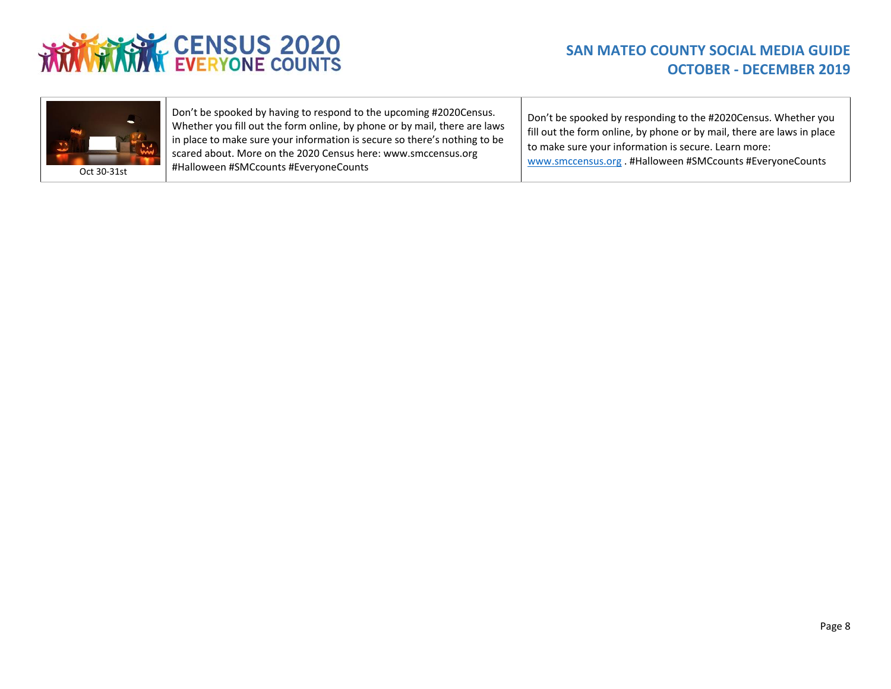



Don't be spooked by having to respond to the upcoming #2020Census. Whether you fill out the form online, by phone or by mail, there are laws in place to make sure your information is secure so there's nothing to be scared about. More on the 2020 Census here: [www.smccensus.org](http://www.smccensus.org/) #Halloween #SMCcounts #EveryoneCounts

Don't be spooked by responding to the #2020Census. Whether you fill out the form online, by phone or by mail, there are laws in place to make sure your information is secure. Learn more: [www.smccensus.org](http://www.smccensus.org/) . #Halloween #SMCcounts #EveryoneCounts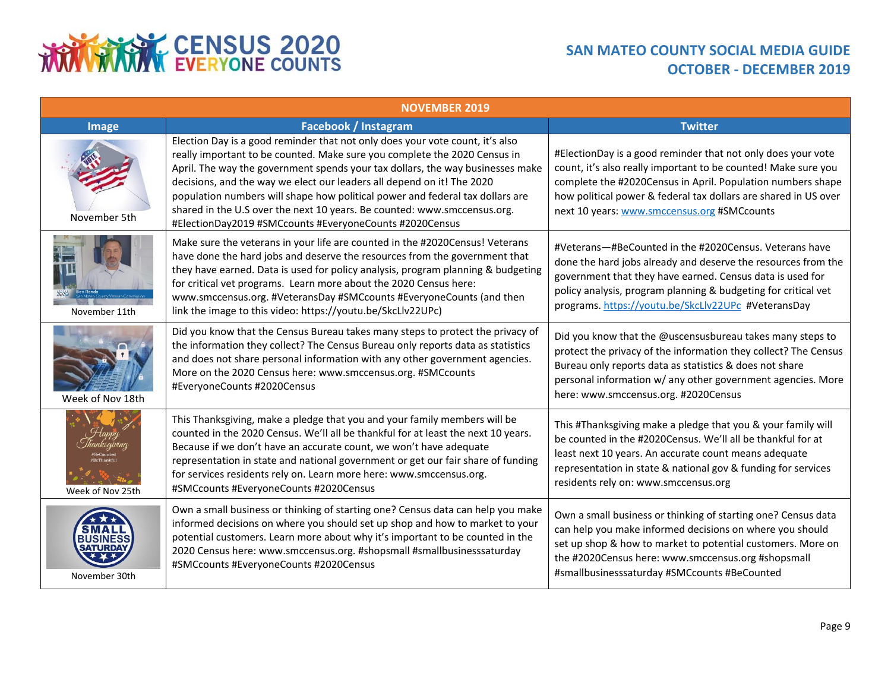# **THRANGE CENSUS 2020**

### **SAN MATEO COUNTY SOCIAL MEDIA GUIDE OCTOBER - DECEMBER 2019**

| <b>NOVEMBER 2019</b>                     |                                                                                                                                                                                                                                                                                                                                                                                                                                                                                                                                                |                                                                                                                                                                                                                                                                                                                 |  |  |
|------------------------------------------|------------------------------------------------------------------------------------------------------------------------------------------------------------------------------------------------------------------------------------------------------------------------------------------------------------------------------------------------------------------------------------------------------------------------------------------------------------------------------------------------------------------------------------------------|-----------------------------------------------------------------------------------------------------------------------------------------------------------------------------------------------------------------------------------------------------------------------------------------------------------------|--|--|
| <b>Image</b>                             | <b>Facebook / Instagram</b>                                                                                                                                                                                                                                                                                                                                                                                                                                                                                                                    | <b>Twitter</b>                                                                                                                                                                                                                                                                                                  |  |  |
| November 5th                             | Election Day is a good reminder that not only does your vote count, it's also<br>really important to be counted. Make sure you complete the 2020 Census in<br>April. The way the government spends your tax dollars, the way businesses make<br>decisions, and the way we elect our leaders all depend on it! The 2020<br>population numbers will shape how political power and federal tax dollars are<br>shared in the U.S over the next 10 years. Be counted: www.smccensus.org.<br>#ElectionDay2019 #SMCcounts #EveryoneCounts #2020Census | #ElectionDay is a good reminder that not only does your vote<br>count, it's also really important to be counted! Make sure you<br>complete the #2020Census in April. Population numbers shape<br>how political power & federal tax dollars are shared in US over<br>next 10 years: www.smccensus.org #SMCcounts |  |  |
| November 11th                            | Make sure the veterans in your life are counted in the #2020Census! Veterans<br>have done the hard jobs and deserve the resources from the government that<br>they have earned. Data is used for policy analysis, program planning & budgeting<br>for critical vet programs. Learn more about the 2020 Census here:<br>www.smccensus.org. #VeteransDay #SMCcounts #EveryoneCounts (and then<br>link the image to this video: https://youtu.be/SkcLlv22UPc)                                                                                     | #Veterans-#BeCounted in the #2020Census, Veterans have<br>done the hard jobs already and deserve the resources from the<br>government that they have earned. Census data is used for<br>policy analysis, program planning & budgeting for critical vet<br>programs. https://youtu.be/SkcLlv22UPc #VeteransDay   |  |  |
| Week of Nov 18th                         | Did you know that the Census Bureau takes many steps to protect the privacy of<br>the information they collect? The Census Bureau only reports data as statistics<br>and does not share personal information with any other government agencies.<br>More on the 2020 Census here: www.smccensus.org. #SMCcounts<br>#EveryoneCounts #2020Census                                                                                                                                                                                                 | Did you know that the @uscensusbureau takes many steps to<br>protect the privacy of the information they collect? The Census<br>Bureau only reports data as statistics & does not share<br>personal information w/ any other government agencies. More<br>here: www.smccensus.org. #2020Census                  |  |  |
| Week of Nov 25th                         | This Thanksgiving, make a pledge that you and your family members will be<br>counted in the 2020 Census. We'll all be thankful for at least the next 10 years.<br>Because if we don't have an accurate count, we won't have adequate<br>representation in state and national government or get our fair share of funding<br>for services residents rely on. Learn more here: www.smccensus.org.<br>#SMCcounts #EveryoneCounts #2020Census                                                                                                      | This #Thanksgiving make a pledge that you & your family will<br>be counted in the #2020Census. We'll all be thankful for at<br>least next 10 years. An accurate count means adequate<br>representation in state & national gov & funding for services<br>residents rely on: www.smccensus.org                   |  |  |
| <b>BUSIN</b><br>SATURDA<br>November 30th | Own a small business or thinking of starting one? Census data can help you make<br>informed decisions on where you should set up shop and how to market to your<br>potential customers. Learn more about why it's important to be counted in the<br>2020 Census here: www.smccensus.org. #shopsmall #smallbusinesssaturday<br>#SMCcounts #EveryoneCounts #2020Census                                                                                                                                                                           | Own a small business or thinking of starting one? Census data<br>can help you make informed decisions on where you should<br>set up shop & how to market to potential customers. More on<br>the #2020Census here: www.smccensus.org #shopsmall<br>#smallbusinesssaturday #SMCcounts #BeCounted                  |  |  |